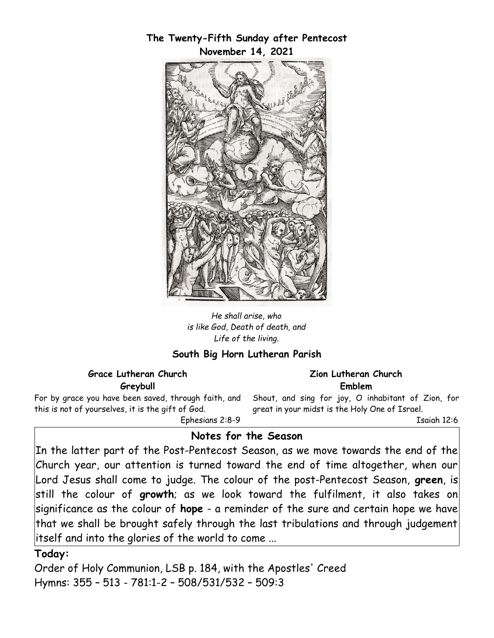# **The Twenty-Fifth Sunday after Pentecost November 14, 2021** EINER RED

*He shall arise, who is like God, Death of death, and Life of the living.*

## **South Big Horn Lutheran Parish**

#### **Grace Lutheran Church Greybull**

For by grace you have been saved, through faith, and this is not of yourselves, it is the gift of God.

Ephesians 2:8-9

## **Notes for the Season**

In the latter part of the Post-Pentecost Season, as we move towards the end of the Church year, our attention is turned toward the end of time altogether, when our Lord Jesus shall come to judge. The colour of the post-Pentecost Season, **green**, is still the colour of **growth**; as we look toward the fulfilment, it also takes on significance as the colour of **hope** - a reminder of the sure and certain hope we have that we shall be brought safely through the last tribulations and through judgement itself and into the glories of the world to come ...

#### **Today:**

Order of Holy Communion, LSB p. 184, with the Apostles' Creed Hymns: 355 – 513 - 781:1-2 – 508/531/532 – 509:3

#### **Zion Lutheran Church Emblem**

Shout, and sing for joy, O inhabitant of Zion, for great in your midst is the Holy One of Israel.

Isaiah 12:6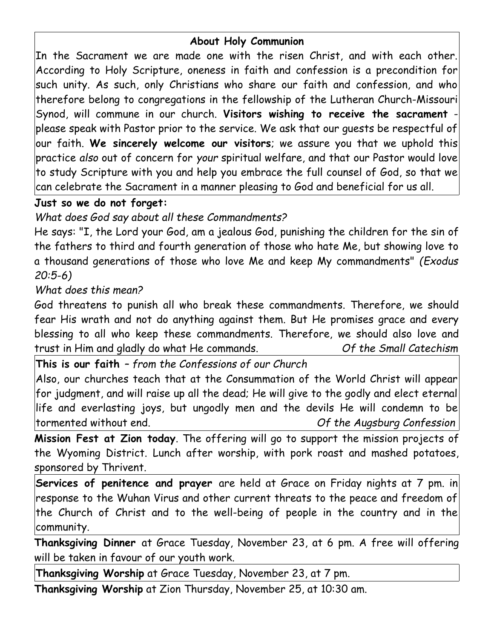# **About Holy Communion**

In the Sacrament we are made one with the risen Christ, and with each other. According to Holy Scripture, oneness in faith and confession is a precondition for such unity. As such, only Christians who share our faith and confession, and who therefore belong to congregations in the fellowship of the Lutheran Church-Missouri Synod, will commune in our church. **Visitors wishing to receive the sacrament** -  $|{\sf please}$  speak with Pastor prior to the service. We ask that our guests be respectful of $|$ our faith. **We sincerely welcome our visitors**; we assure you that we uphold this practice *also* out of concern for *your* spiritual welfare, and that our Pastor would love to study Scripture with you and help you embrace the full counsel of God, so that we can celebrate the Sacrament in a manner pleasing to God and beneficial for us all.

## **Just so we do not forget:**

*What does God say about all these Commandments?*

He says: "I, the Lord your God, am a jealous God, punishing the children for the sin of the fathers to third and fourth generation of those who hate Me, but showing love to a thousand generations of those who love Me and keep My commandments" *(Exodus 20:5-6)*

# *What does this mean?*

God threatens to punish all who break these commandments. Therefore, we should fear His wrath and not do anything against them. But He promises grace and every blessing to all who keep these commandments. Therefore, we should also love and trust in Him and gladly do what He commands. *Of the Small Catechism*

**This is our faith** *– from the Confessions of our Church*

Also, our churches teach that at the Consummation of the World Christ will appear for judgment, and will raise up all the dead; He will give to the godly and elect eternal life and everlasting joys, but ungodly men and the devils He will condemn to be tormented without end. *Of the Augsburg Confession*

**Mission Fest at Zion today**. The offering will go to support the mission projects of the Wyoming District. Lunch after worship, with pork roast and mashed potatoes, sponsored by Thrivent.

**Services of penitence and prayer** are held at Grace on Friday nights at 7 pm. in response to the Wuhan Virus and other current threats to the peace and freedom of the Church of Christ and to the well-being of people in the country and in the community.

**Thanksgiving Dinner** at Grace Tuesday, November 23, at 6 pm. A free will offering will be taken in favour of our youth work.

**Thanksgiving Worship** at Grace Tuesday, November 23, at 7 pm.

**Thanksgiving Worship** at Zion Thursday, November 25, at 10:30 am.